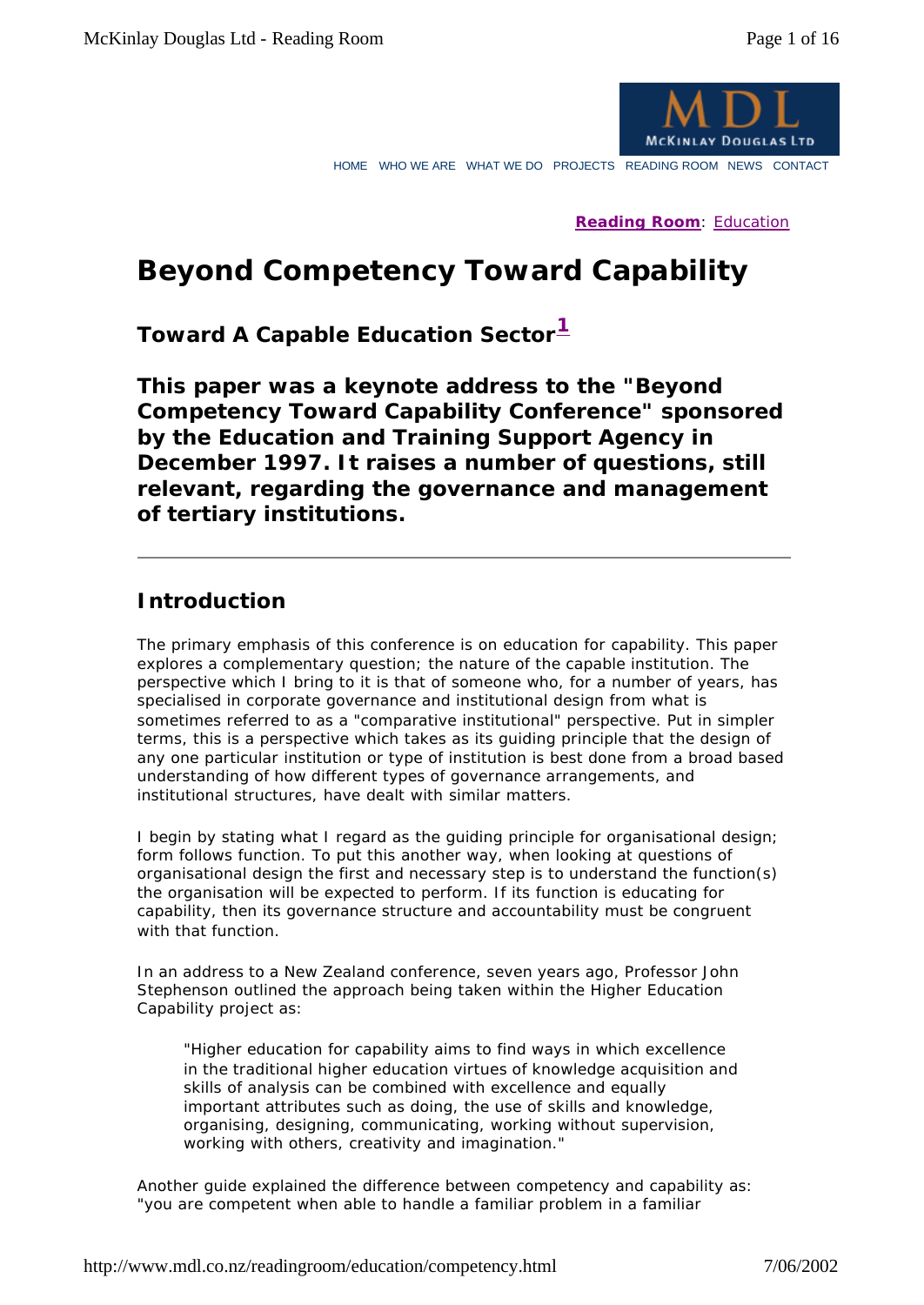

HOME WHO WE ARE WHAT WE DO PROJECTS READING ROOM NEWS CONTACT

**Reading Room**: Education

# **Beyond Competency Toward Capability**

*Toward A Capable Education Sector<sup>1</sup>*

*This paper was a keynote address to the "Beyond Competency Toward Capability Conference" sponsored by the Education and Training Support Agency in December 1997. It raises a number of questions, still relevant, regarding the governance and management of tertiary institutions.*

## **Introduction**

The primary emphasis of this conference is on education for capability. This paper explores a complementary question; the nature of the capable institution. The perspective which I bring to it is that of someone who, for a number of years, has specialised in corporate governance and institutional design from what is sometimes referred to as a "comparative institutional" perspective. Put in simpler terms, this is a perspective which takes as its guiding principle that the design of any one particular institution or type of institution is best done from a broad based understanding of how different types of governance arrangements, and institutional structures, have dealt with similar matters.

I begin by stating what I regard as the guiding principle for organisational design; form follows function. To put this another way, when looking at questions of organisational design the first and necessary step is to understand the function(s) the organisation will be expected to perform. If its function is educating for capability, then its governance structure and accountability must be congruent with that function.

In an address to a New Zealand conference, seven years ago, Professor John Stephenson outlined the approach being taken within the Higher Education Capability project as:

*"Higher education for capability aims to find ways in which excellence in the traditional higher education virtues of knowledge acquisition and skills of analysis can be combined with excellence and equally important attributes such as doing, the use of skills and knowledge, organising, designing, communicating, working without supervision, working with others, creativity and imagination."*

Another guide explained the difference between competency and capability as: "you are competent when able to handle a familiar problem in a familiar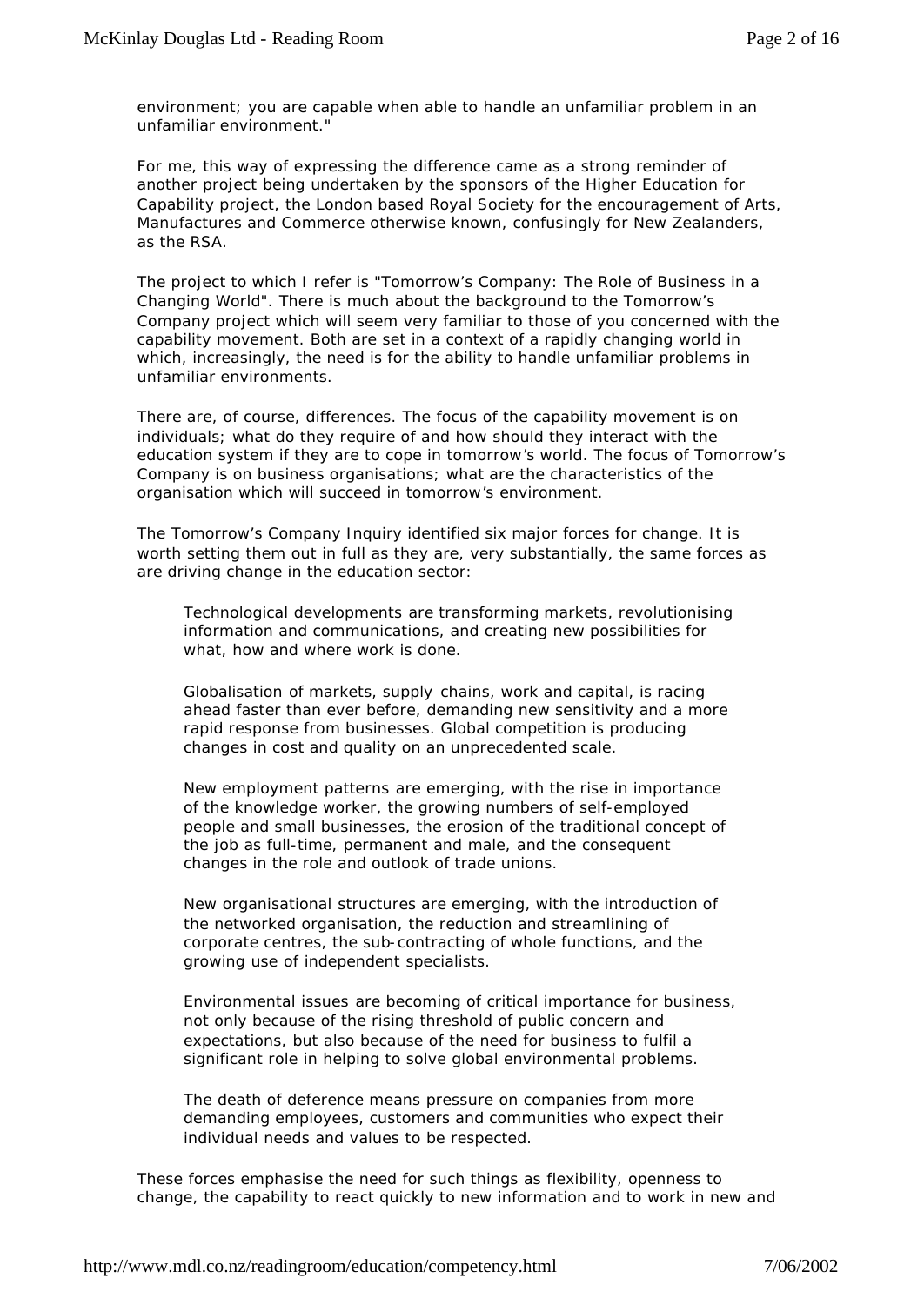environment; you are capable when able to handle an unfamiliar problem in an unfamiliar environment."

For me, this way of expressing the difference came as a strong reminder of another project being undertaken by the sponsors of the Higher Education for Capability project, the London based Royal Society for the encouragement of Arts, Manufactures and Commerce otherwise known, confusingly for New Zealanders, as the RSA.

The project to which I refer is "Tomorrow's Company: The Role of Business in a Changing World". There is much about the background to the Tomorrow's Company project which will seem very familiar to those of you concerned with the capability movement. Both are set in a context of a rapidly changing world in which, increasingly, the need is for the ability to handle unfamiliar problems in unfamiliar environments.

There are, of course, differences. The focus of the capability movement is on individuals; what do they require of and how should they interact with the education system if they are to cope in tomorrow's world. The focus of Tomorrow's Company is on business organisations; what are the characteristics of the organisation which will succeed in tomorrow's environment.

The Tomorrow's Company Inquiry identified six major forces for change. It is worth setting them out in full as they are, very substantially, the same forces as are driving change in the education sector:

*Technological developments* are transforming markets, revolutionising information and communications, and creating new possibilities for what, how and where work is done.

*Globalisation* of markets, supply chains, work and capital, is racing ahead faster than ever before, demanding new sensitivity and a more rapid response from businesses. Global competition is producing changes in cost and quality on an unprecedented scale.

*New employment patterns* are emerging, with the rise in importance of the knowledge worker, the growing numbers of self-employed people and small businesses, the erosion of the traditional concept of the job as full-time, permanent and male, and the consequent changes in the role and outlook of trade unions.

*New organisational structures* are emerging, with the introduction of the networked organisation, the reduction and streamlining of corporate centres, the sub-contracting of whole functions, and the growing use of independent specialists.

*Environmental issues* are becoming of critical importance for business, not only because of the rising threshold of public concern and expectations, but also because of the need for business to fulfil a significant role in helping to solve global environmental problems.

*The death of deference* means pressure on companies from more demanding employees, customers and communities who expect their individual needs and values to be respected.

These forces emphasise the need for such things as flexibility, openness to change, the capability to react quickly to new information and to work in new and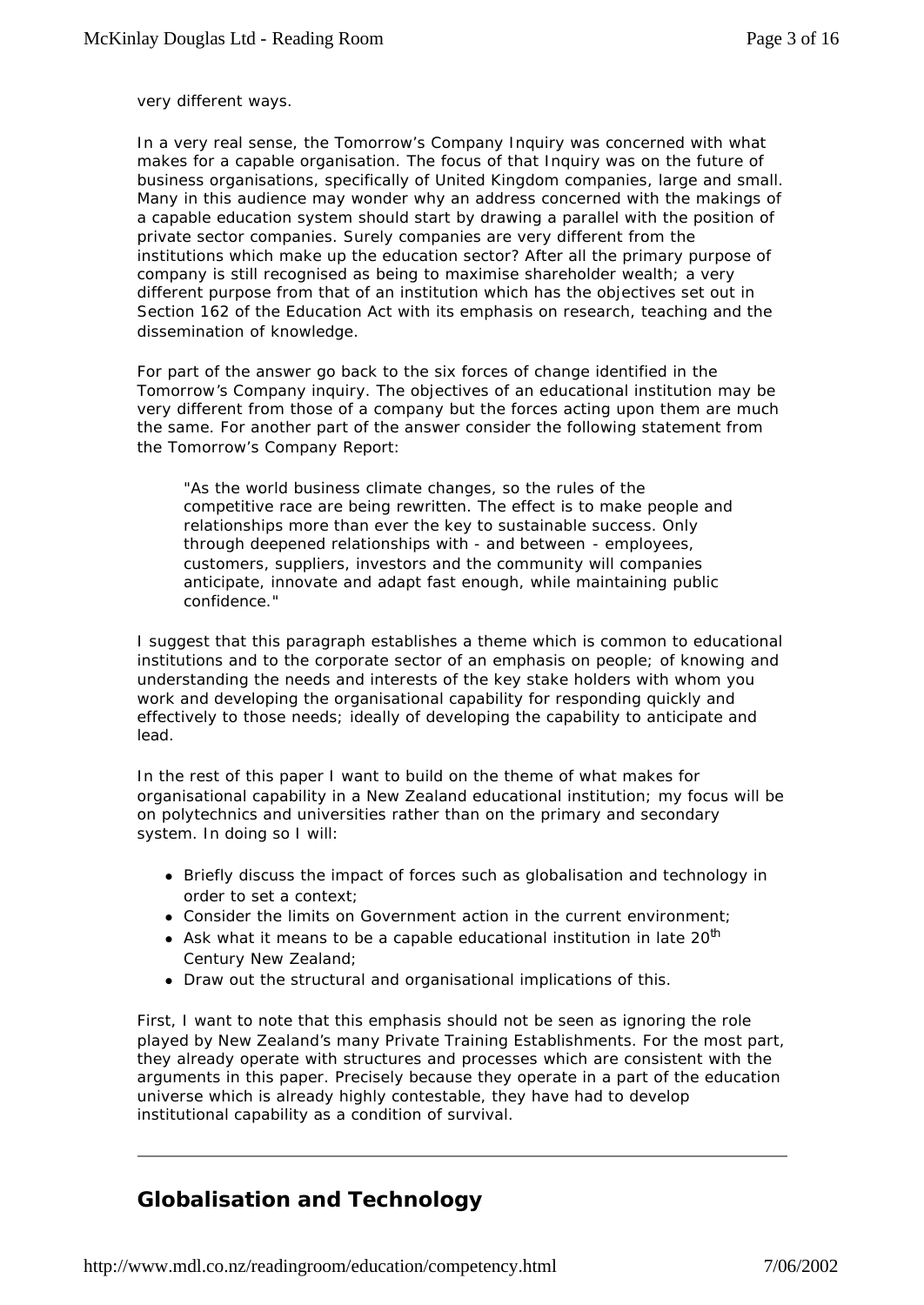very different ways.

In a very real sense, the Tomorrow's Company Inquiry was concerned with what makes for a capable organisation. The focus of that Inquiry was on the future of business organisations, specifically of United Kingdom companies, large and small. Many in this audience may wonder why an address concerned with the makings of a capable education system should start by drawing a parallel with the position of private sector companies. Surely companies are very different from the institutions which make up the education sector? After all the primary purpose of company is still recognised as being to maximise shareholder wealth; a very different purpose from that of an institution which has the objectives set out in Section 162 of the Education Act with its emphasis on research, teaching and the dissemination of knowledge.

For part of the answer go back to the six forces of change identified in the Tomorrow's Company inquiry. The objectives of an educational institution may be very different from those of a company but the forces acting upon them are much the same. For another part of the answer consider the following statement from the Tomorrow's Company Report:

*"As the world business climate changes, so the rules of the competitive race are being rewritten. The effect is to make people and relationships more than ever the key to sustainable success. Only through deepened relationships with - and between - employees, customers, suppliers, investors and the community will companies anticipate, innovate and adapt fast enough, while maintaining public confidence."*

I suggest that this paragraph establishes a theme which is common to educational institutions and to the corporate sector of an emphasis on people; of knowing and understanding the needs and interests of the key stake holders with whom you work and developing the organisational capability for responding quickly and effectively to those needs; ideally of developing the capability to anticipate and lead.

In the rest of this paper I want to build on the theme of what makes for organisational capability in a New Zealand educational institution; my focus will be on polytechnics and universities rather than on the primary and secondary system. In doing so I will:

- Briefly discuss the impact of forces such as globalisation and technology in order to set a context;
- Consider the limits on Government action in the current environment;
- Ask what it means to be a capable educational institution in late  $20<sup>th</sup>$ Century New Zealand;
- Draw out the structural and organisational implications of this.

First, I want to note that this emphasis should not be seen as ignoring the role played by New Zealand's many Private Training Establishments. For the most part, they already operate with structures and processes which are consistent with the arguments in this paper. Precisely because they operate in a part of the education universe which is already highly contestable, they have had to develop institutional capability as a condition of survival.

# **Globalisation and Technology**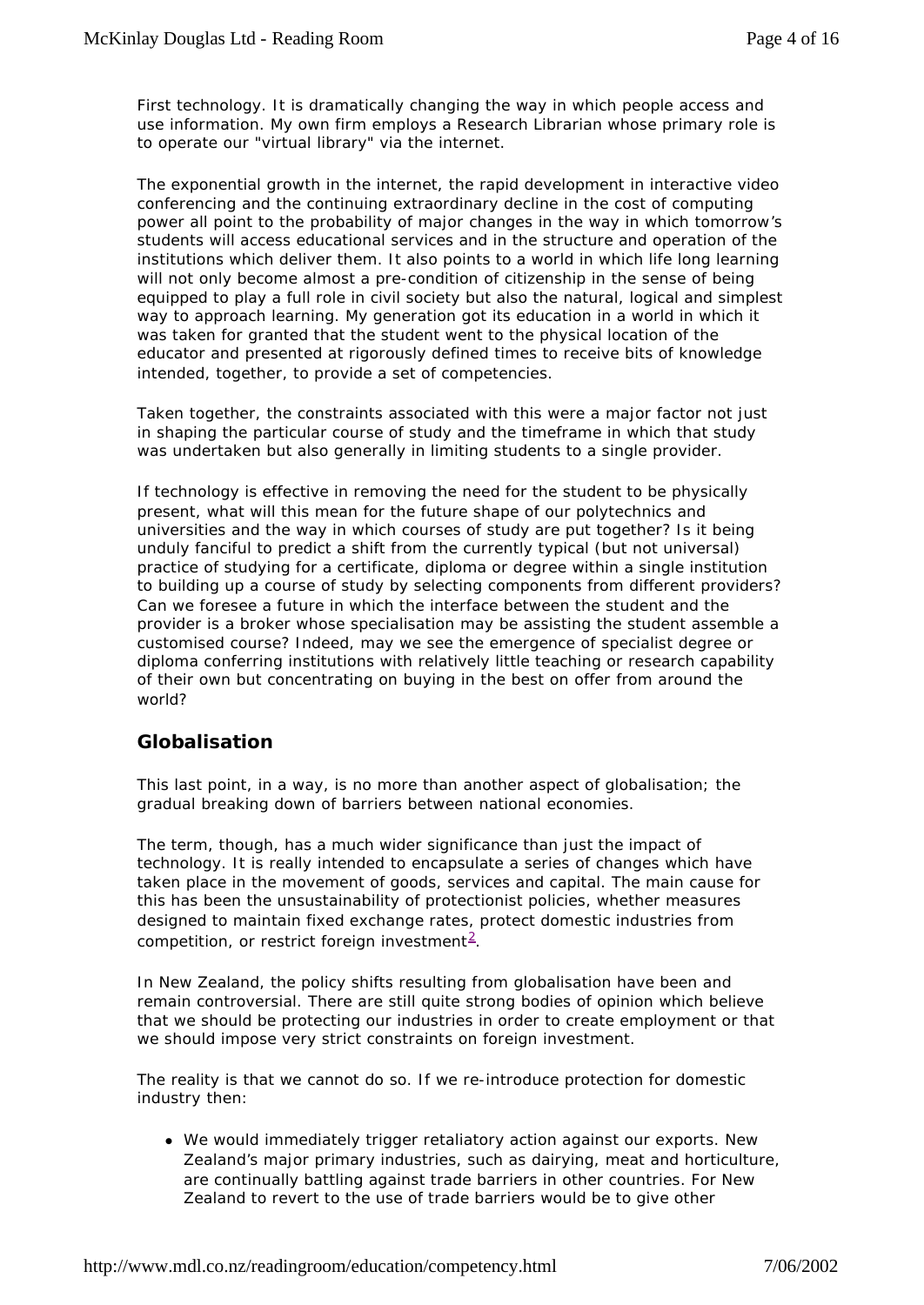First technology. It is dramatically changing the way in which people access and use information. My own firm employs a Research Librarian whose primary role is to operate our "virtual library" via the internet.

The exponential growth in the internet, the rapid development in interactive video conferencing and the continuing extraordinary decline in the cost of computing power all point to the probability of major changes in the way in which tomorrow's students will access educational services and in the structure and operation of the institutions which deliver them. It also points to a world in which life long learning will not only become almost a pre-condition of citizenship in the sense of being equipped to play a full role in civil society but also the natural, logical and simplest way to approach learning. My generation got its education in a world in which it was taken for granted that the student went to the physical location of the educator and presented at rigorously defined times to receive bits of knowledge intended, together, to provide a set of competencies.

Taken together, the constraints associated with this were a major factor not just in shaping the particular course of study and the timeframe in which that study was undertaken but also generally in limiting students to a single provider.

If technology is effective in removing the need for the student to be physically present, what will this mean for the future shape of our polytechnics and universities and the way in which courses of study are put together? Is it being unduly fanciful to predict a shift from the currently typical (but not universal) practice of studying for a certificate, diploma or degree within a single institution to building up a course of study by selecting components from different providers? Can we foresee a future in which the interface between the student and the provider is a broker whose specialisation may be assisting the student assemble a customised course? Indeed, may we see the emergence of specialist degree or diploma conferring institutions with relatively little teaching or research capability of their own but concentrating on buying in the best on offer from around the world?

#### **Globalisation**

This last point, in a way, is no more than another aspect of globalisation; the gradual breaking down of barriers between national economies.

The term, though, has a much wider significance than just the impact of technology. It is really intended to encapsulate a series of changes which have taken place in the movement of goods, services and capital. The main cause for this has been the unsustainability of protectionist policies, whether measures designed to maintain fixed exchange rates, protect domestic industries from competition, or restrict foreign investment<sup>2</sup>.

In New Zealand, the policy shifts resulting from globalisation have been and remain controversial. There are still quite strong bodies of opinion which believe that we should be protecting our industries in order to create employment or that we should impose very strict constraints on foreign investment.

The reality is that we cannot do so. If we re-introduce protection for domestic industry then:

• We would immediately trigger retaliatory action against our exports. New Zealand's major primary industries, such as dairying, meat and horticulture, are continually battling against trade barriers in other countries. For New Zealand to revert to the use of trade barriers would be to give other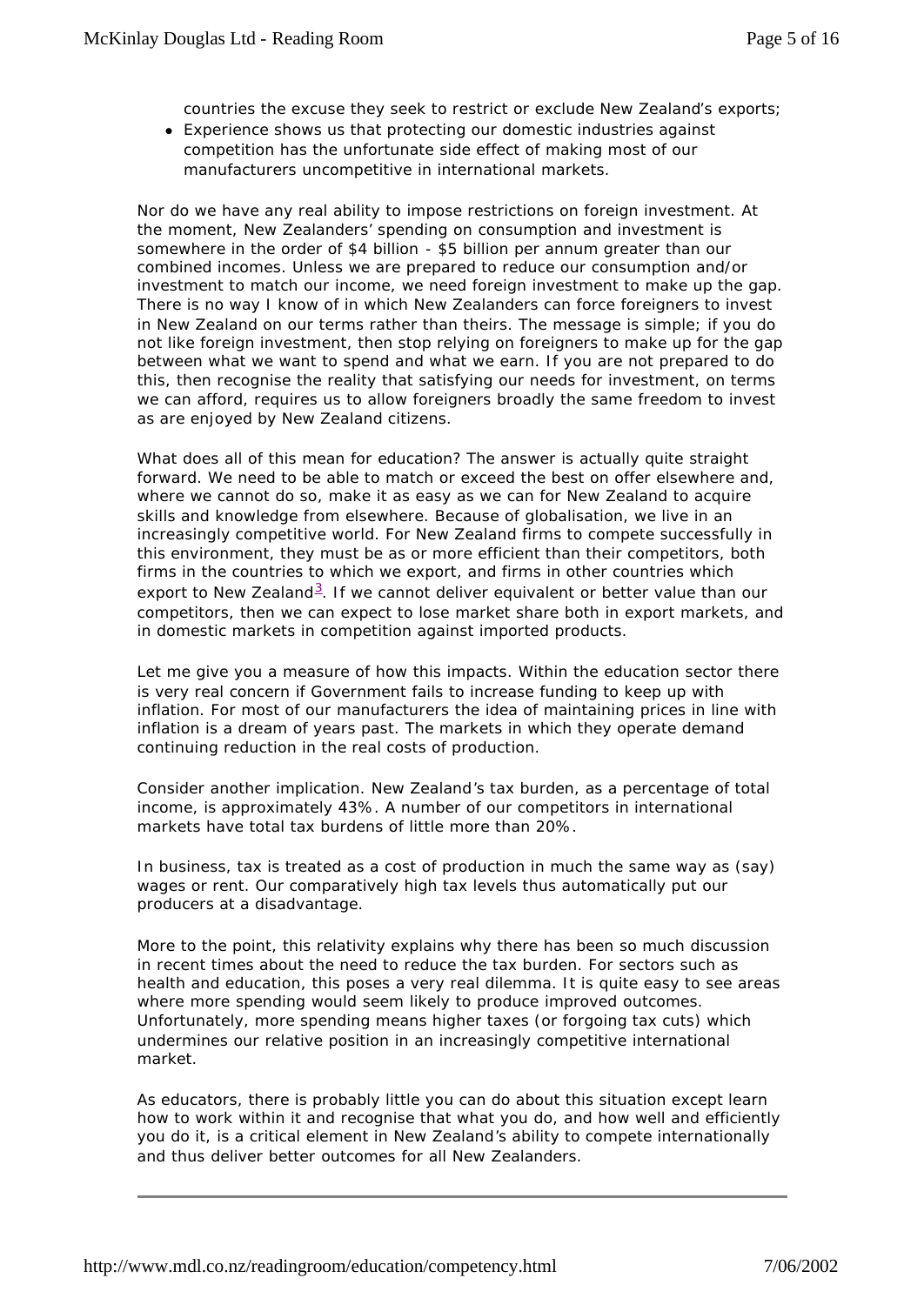countries the excuse they seek to restrict or exclude New Zealand's exports;

• Experience shows us that protecting our domestic industries against competition has the unfortunate side effect of making most of our manufacturers uncompetitive in international markets.

Nor do we have any real ability to impose restrictions on foreign investment. At the moment, New Zealanders' spending on consumption and investment is somewhere in the order of \$4 billion - \$5 billion per annum greater than our combined incomes. Unless we are prepared to reduce our consumption and/or investment to match our income, we need foreign investment to make up the gap. There is no way I know of in which New Zealanders can force foreigners to invest in New Zealand on our terms rather than theirs. The message is simple; if you do not like foreign investment, then stop relying on foreigners to make up for the gap between what we want to spend and what we earn. If you are not prepared to do this, then recognise the reality that satisfying our needs for investment, on terms we can afford, requires us to allow foreigners broadly the same freedom to invest as are enjoyed by New Zealand citizens.

What does all of this mean for education? The answer is actually quite straight forward. We need to be able to match or exceed the best on offer elsewhere and, where we cannot do so, make it as easy as we can for New Zealand to acquire skills and knowledge from elsewhere. Because of globalisation, we live in an increasingly competitive world. For New Zealand firms to compete successfully in this environment, they must be as or more efficient than their competitors, both firms in the countries to which we export, and firms in other countries which export to New Zealand<sup>3</sup>. If we cannot deliver equivalent or better value than our competitors, then we can expect to lose market share both in export markets, and in domestic markets in competition against imported products.

Let me give you a measure of how this impacts. Within the education sector there is very real concern if Government fails to increase funding to keep up with inflation. For most of our manufacturers the idea of maintaining prices in line with inflation is a dream of years past. The markets in which they operate demand continuing reduction in the real costs of production.

Consider another implication. New Zealand's tax burden, as a percentage of total income, is approximately 43%. A number of our competitors in international markets have total tax burdens of little more than 20%.

In business, tax is treated as a cost of production in much the same way as (say) wages or rent. Our comparatively high tax levels thus automatically put our producers at a disadvantage.

More to the point, this relativity explains why there has been so much discussion in recent times about the need to reduce the tax burden. For sectors such as health and education, this poses a very real dilemma. It is quite easy to see areas where more spending would seem likely to produce improved outcomes. Unfortunately, more spending means higher taxes (or forgoing tax cuts) which undermines our relative position in an increasingly competitive international market.

As educators, there is probably little you can do about this situation except learn how to work within it and recognise that what you do, and how well and efficiently you do it, is a critical element in New Zealand's ability to compete internationally and thus deliver better outcomes for all New Zealanders.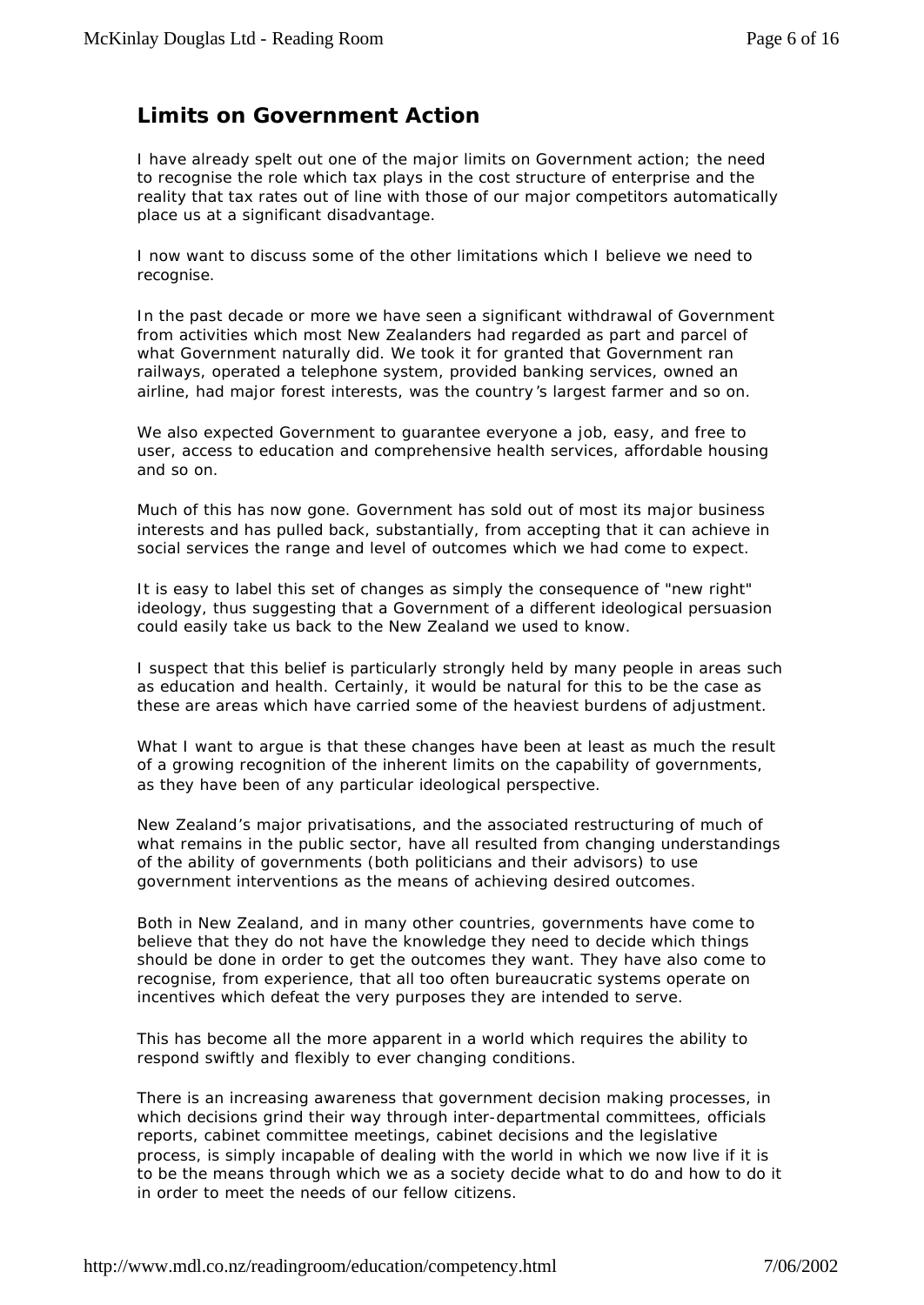# **Limits on Government Action**

I have already spelt out one of the major limits on Government action; the need to recognise the role which tax plays in the cost structure of enterprise and the reality that tax rates out of line with those of our major competitors automatically place us at a significant disadvantage.

I now want to discuss some of the other limitations which I believe we need to recognise.

In the past decade or more we have seen a significant withdrawal of Government from activities which most New Zealanders had regarded as part and parcel of what Government naturally did. We took it for granted that Government ran railways, operated a telephone system, provided banking services, owned an airline, had major forest interests, was the country 's largest farmer and so on.

We also expected Government to guarantee everyone a job, easy, and free to user, access to education and comprehensive health services, affordable housing and so on.

Much of this has now gone. Government has sold out of most its major business interests and has pulled back, substantially, from accepting that it can achieve in social services the range and level of outcomes which we had come to expect.

It is easy to label this set of changes as simply the consequence of "new right" ideology, thus suggesting that a Government of a different ideological persuasion could easily take us back to the New Zealand we used to know.

I suspect that this belief is particularly strongly held by many people in areas such as education and health. Certainly, it would be natural for this to be the case as these are areas which have carried some of the heaviest burdens of adjustment.

What I want to argue is that these changes have been at least as much the result of a growing recognition of the inherent limits on the capability of governments, as they have been of any particular ideological perspective.

New Zealand's major privatisations, and the associated restructuring of much of what remains in the public sector, have all resulted from changing understandings of the ability of governments (both politicians and their advisors) to use government interventions as the means of achieving desired outcomes.

Both in New Zealand, and in many other countries, governments have come to believe that they do not have the knowledge they need to decide which things should be done in order to get the outcomes they want. They have also come to recognise, from experience, that all too often bureaucratic systems operate on incentives which defeat the very purposes they are intended to serve.

This has become all the more apparent in a world which requires the ability to respond swiftly and flexibly to ever changing conditions.

There is an increasing awareness that government decision making processes, in which decisions grind their way through inter-departmental committees, officials reports, cabinet committee meetings, cabinet decisions and the legislative process, is simply incapable of dealing with the world in which we now live if it is to be the means through which we as a society decide what to do and how to do it in order to meet the needs of our fellow citizens.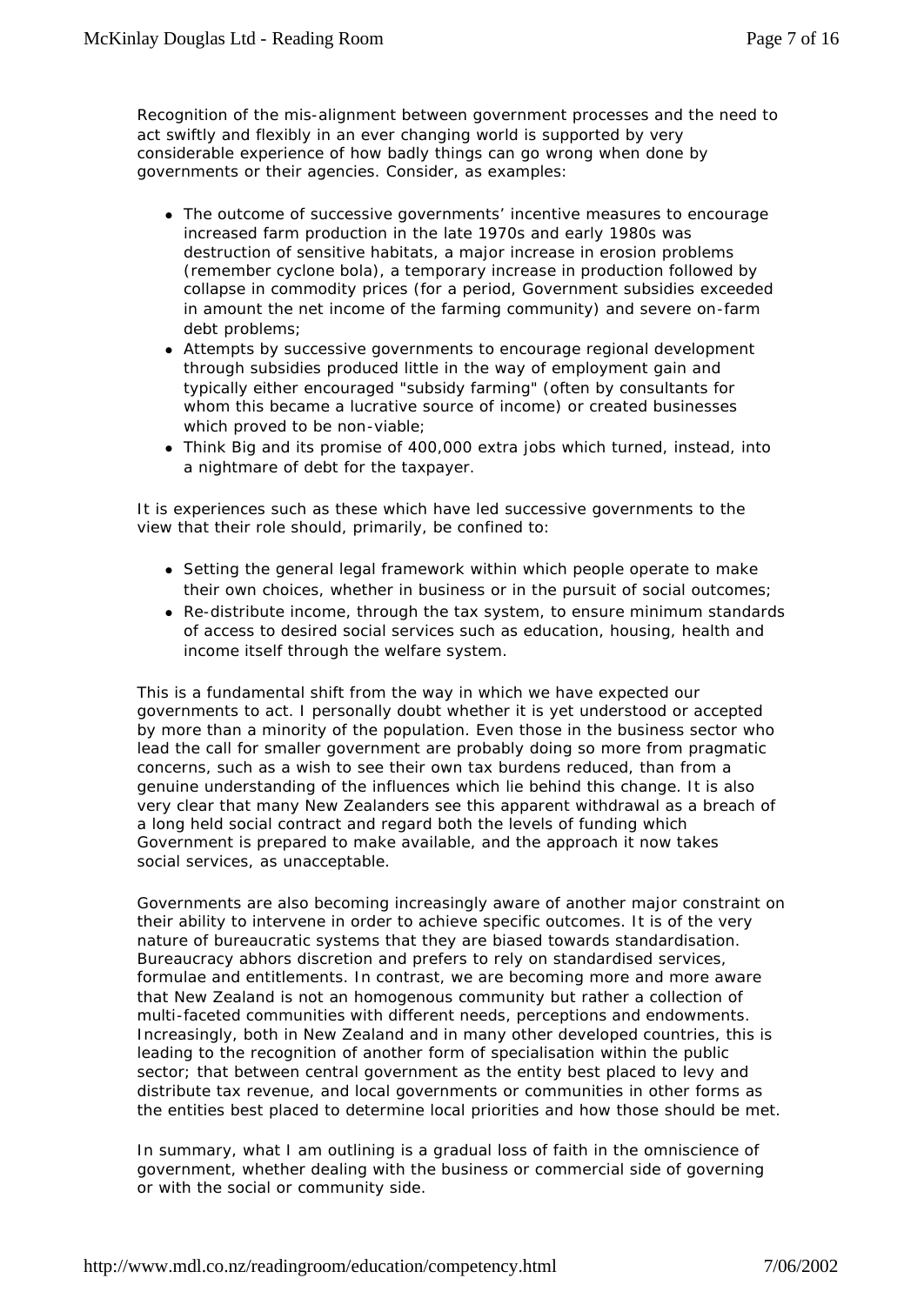Recognition of the mis-alignment between government processes and the need to act swiftly and flexibly in an ever changing world is supported by very considerable experience of how badly things can go wrong when done by governments or their agencies. Consider, as examples:

- The outcome of successive governments' incentive measures to encourage increased farm production in the late 1970s and early 1980s was destruction of sensitive habitats, a major increase in erosion problems (remember cyclone bola), a temporary increase in production followed by collapse in commodity prices (for a period, Government subsidies exceeded in amount the net income of the farming community) and severe on-farm debt problems;
- Attempts by successive governments to encourage regional development through subsidies produced little in the way of employment gain and typically either encouraged "subsidy farming" (often by consultants for whom this became a lucrative source of income) or created businesses which proved to be non-viable;
- Think Big and its promise of 400,000 extra jobs which turned, instead, into a nightmare of debt for the taxpayer.

It is experiences such as these which have led successive governments to the view that their role should, primarily, be confined to:

- Setting the general legal framework within which people operate to make their own choices, whether in business or in the pursuit of social outcomes;
- Re-distribute income, through the tax system, to ensure minimum standards of access to desired social services such as education, housing, health and income itself through the welfare system.

This is a fundamental shift from the way in which we have expected our governments to act. I personally doubt whether it is yet understood or accepted by more than a minority of the population. Even those in the business sector who lead the call for smaller government are probably doing so more from pragmatic concerns, such as a wish to see their own tax burdens reduced, than from a genuine understanding of the influences which lie behind this change. It is also very clear that many New Zealanders see this apparent withdrawal as a breach of a long held social contract and regard both the levels of funding which Government is prepared to make available, and the approach it now takes social services, as unacceptable.

Governments are also becoming increasingly aware of another major constraint on their ability to intervene in order to achieve specific outcomes. It is of the very nature of bureaucratic systems that they are biased towards standardisation. Bureaucracy abhors discretion and prefers to rely on standardised services, formulae and entitlements. In contrast, we are becoming more and more aware that New Zealand is not an homogenous community but rather a collection of multi-faceted communities with different needs, perceptions and endowments. Increasingly, both in New Zealand and in many other developed countries, this is leading to the recognition of another form of specialisation within the public sector; that between central government as the entity best placed to levy and distribute tax revenue, and local governments or communities in other forms as the entities best placed to determine local priorities and how those should be met.

In summary, what I am outlining is a gradual loss of faith in the omniscience of government, whether dealing with the business or commercial side of governing or with the social or community side.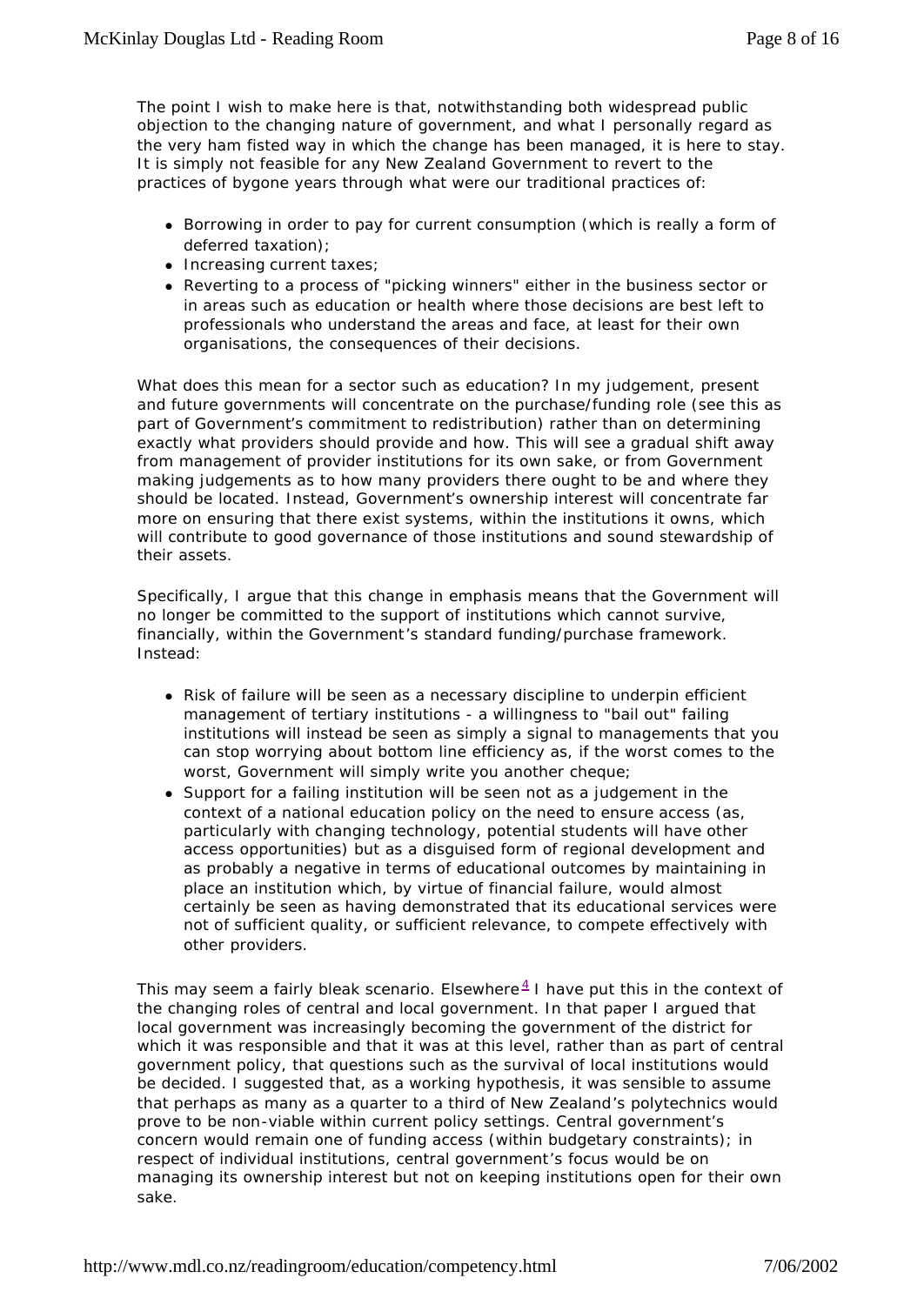The point I wish to make here is that, notwithstanding both widespread public objection to the changing nature of government, and what I personally regard as the very ham fisted way in which the change has been managed, it is here to stay. It is simply not feasible for any New Zealand Government to revert to the practices of bygone years through what were our traditional practices of:

- Borrowing in order to pay for current consumption (which is really a form of deferred taxation);
- $\bullet$  Increasing current taxes;
- Reverting to a process of "picking winners" either in the business sector or in areas such as education or health where those decisions are best left to professionals who understand the areas and face, at least for their own organisations, the consequences of their decisions.

What does this mean for a sector such as education? In my judgement, present and future governments will concentrate on the purchase/funding role (see this as part of Government's commitment to redistribution) rather than on determining exactly what providers should provide and how. This will see a gradual shift away from management of provider institutions for its own sake, or from Government making judgements as to how many providers there ought to be and where they should be located. Instead, Government's ownership interest will concentrate far more on ensuring that there exist systems, within the institutions it owns, which will contribute to good governance of those institutions and sound stewardship of their assets.

Specifically, I argue that this change in emphasis means that the Government will no longer be committed to the support of institutions which cannot survive, financially, within the Government's standard funding/purchase framework. Instead:

- Risk of failure will be seen as a necessary discipline to underpin efficient management of tertiary institutions - a willingness to "bail out" failing institutions will instead be seen as simply a signal to managements that you can stop worrying about bottom line efficiency as, if the worst comes to the worst, Government will simply write you another cheque;
- Support for a failing institution will be seen not as a judgement in the context of a national education policy on the need to ensure access (as, particularly with changing technology, potential students will have other access opportunities) but as a disguised form of regional development and as probably a negative in terms of educational outcomes by maintaining in place an institution which, by virtue of financial failure, would almost certainly be seen as having demonstrated that its educational services were not of sufficient quality, or sufficient relevance, to compete effectively with other providers.

This may seem a fairly bleak scenario. Elsewhere $4$  I have put this in the context of the changing roles of central and local government. In that paper I argued that local government was increasingly becoming the government of the district for which it was responsible and that it was at this level, rather than as part of central government policy, that questions such as the survival of local institutions would be decided. I suggested that, as a working hypothesis, it was sensible to assume that perhaps as many as a quarter to a third of New Zealand's polytechnics would prove to be non-viable within current policy settings. Central government's concern would remain one of funding access (within budgetary constraints); in respect of individual institutions, central government's focus would be on managing its ownership interest but not on keeping institutions open for their own sake.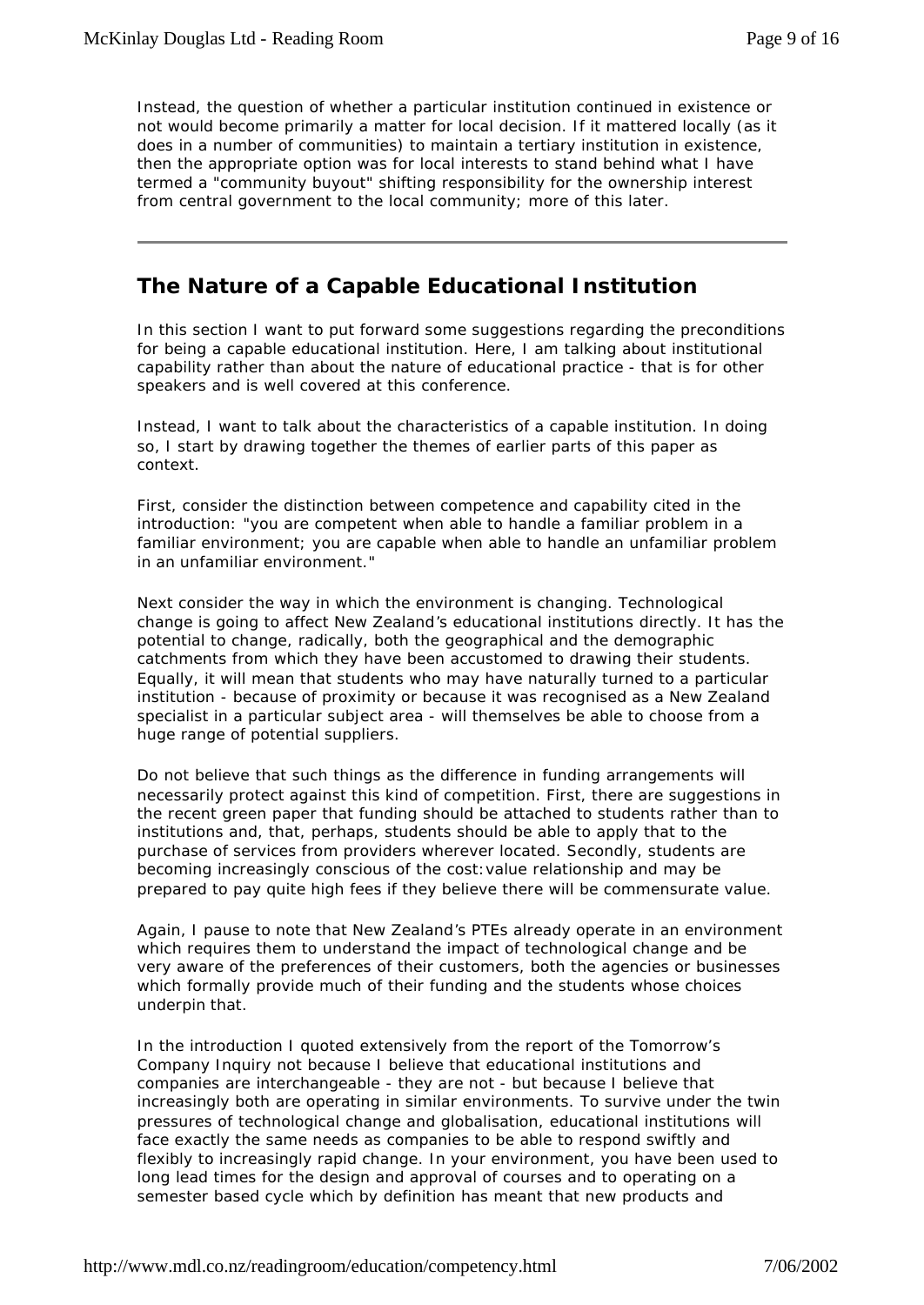Instead, the question of whether a particular institution continued in existence or not would become primarily a matter for local decision. If it mattered locally (as it does in a number of communities) to maintain a tertiary institution in existence, then the appropriate option was for local interests to stand behind what I have termed a "community buyout" shifting responsibility for the ownership interest from central government to the local community; more of this later.

#### **The Nature of a Capable Educational Institution**

In this section I want to put forward some suggestions regarding the preconditions for being a capable educational institution. Here, I am talking about institutional capability rather than about the nature of educational practice - that is for other speakers and is well covered at this conference.

Instead, I want to talk about the characteristics of a capable institution. In doing so, I start by drawing together the themes of earlier parts of this paper as context.

First, consider the distinction between competence and capability cited in the introduction: "you are competent when able to handle a familiar problem in a familiar environment; you are capable when able to handle an unfamiliar problem in an unfamiliar environment."

Next consider the way in which the environment is changing. Technological change is going to affect New Zealand's educational institutions directly. It has the potential to change, radically, both the geographical and the demographic catchments from which they have been accustomed to drawing their students. Equally, it will mean that students who may have naturally turned to a particular institution - because of proximity or because it was recognised as a New Zealand specialist in a particular subject area - will themselves be able to choose from a huge range of potential suppliers.

Do not believe that such things as the difference in funding arrangements will necessarily protect against this kind of competition. First, there are suggestions in the recent green paper that funding should be attached to students rather than to institutions and, that, perhaps, students should be able to apply that to the purchase of services from providers wherever located. Secondly, students are becoming increasingly conscious of the cost:value relationship and may be prepared to pay quite high fees if they believe there will be commensurate value.

Again, I pause to note that New Zealand's PTEs already operate in an environment which requires them to understand the impact of technological change and be very aware of the preferences of their customers, both the agencies or businesses which formally provide much of their funding and the students whose choices underpin that.

In the introduction I quoted extensively from the report of the Tomorrow's Company Inquiry not because I believe that educational institutions and companies are interchangeable - they are not - but because I believe that increasingly both are operating in similar environments. To survive under the twin pressures of technological change and globalisation, educational institutions will face exactly the same needs as companies to be able to respond swiftly and flexibly to increasingly rapid change. In your environment, you have been used to long lead times for the design and approval of courses and to operating on a semester based cycle which by definition has meant that new products and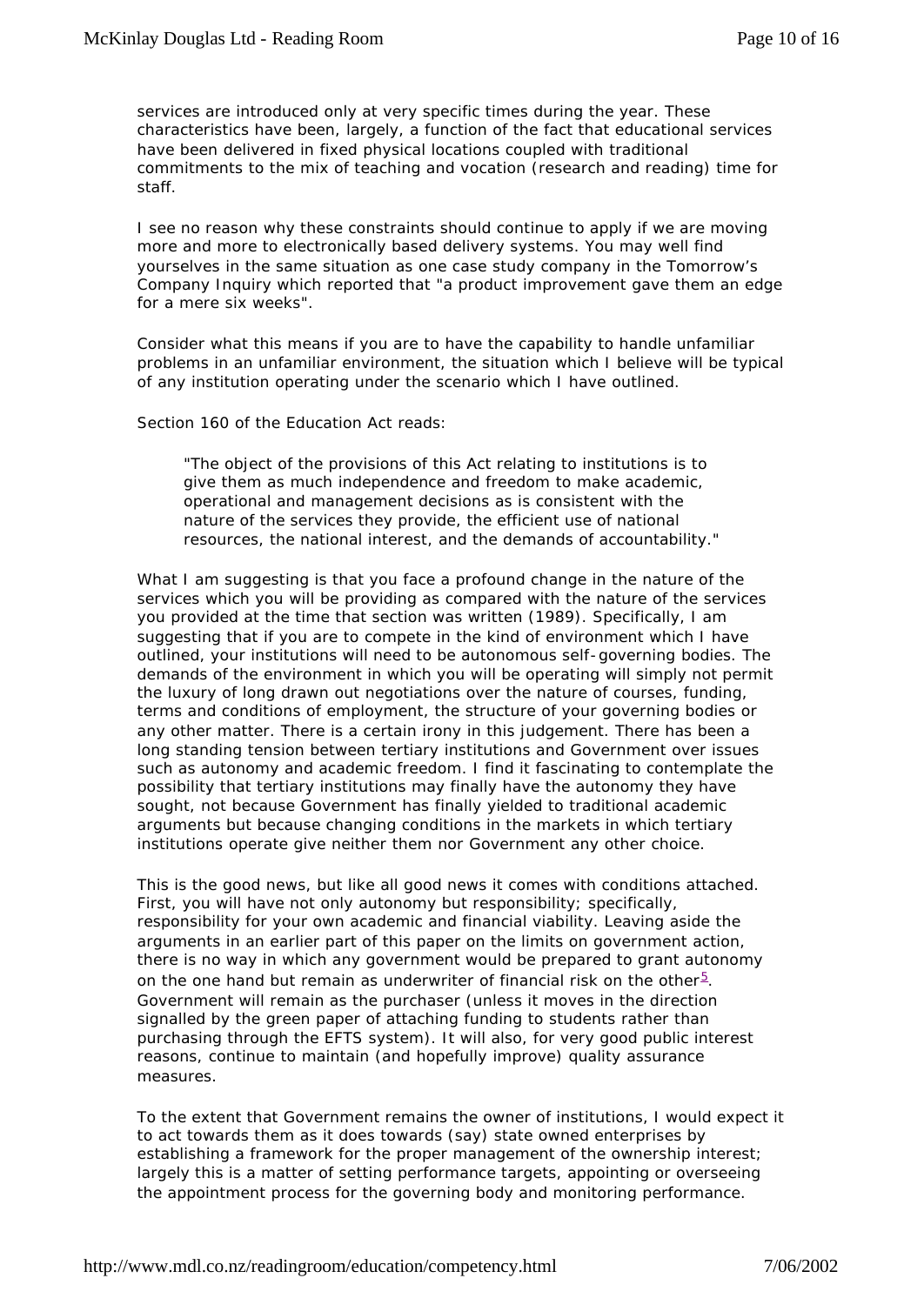services are introduced only at very specific times during the year. These characteristics have been, largely, a function of the fact that educational services have been delivered in fixed physical locations coupled with traditional commitments to the mix of teaching and vocation (research and reading) time for staff.

I see no reason why these constraints should continue to apply if we are moving more and more to electronically based delivery systems. You may well find yourselves in the same situation as one case study company in the Tomorrow's Company Inquiry which reported that "a product improvement gave them an edge for a mere six weeks".

Consider what this means if you are to have the capability to handle unfamiliar problems in an unfamiliar environment, the situation which I believe will be typical of any institution operating under the scenario which I have outlined.

Section 160 of the Education Act reads:

*"The object of the provisions of this Act relating to institutions is to give them as much independence and freedom to make academic, operational and management decisions as is consistent with the nature of the services they provide, the efficient use of national resources, the national interest, and the demands of accountability."*

What I am suggesting is that you face a profound change in the nature of the services which you will be providing as compared with the nature of the services you provided at the time that section was written (1989). Specifically, I am suggesting that if you are to compete in the kind of environment which I have outlined, your institutions will need to be autonomous self-governing bodies. The demands of the environment in which you will be operating will simply not permit the luxury of long drawn out negotiations over the nature of courses, funding, terms and conditions of employment, the structure of your governing bodies or any other matter. There is a certain irony in this judgement. There has been a long standing tension between tertiary institutions and Government over issues such as autonomy and academic freedom. I find it fascinating to contemplate the possibility that tertiary institutions may finally have the autonomy they have sought, not because Government has finally yielded to traditional academic arguments but because changing conditions in the markets in which tertiary institutions operate give neither them nor Government any other choice.

This is the good news, but like all good news it comes with conditions attached. First, you will have not only autonomy but responsibility; specifically, responsibility for your own academic and financial viability. Leaving aside the arguments in an earlier part of this paper on the limits on government action, there is no way in which any government would be prepared to grant autonomy on the one hand but remain as underwriter of financial risk on the other $^5$ . Government will remain as the purchaser (unless it moves in the direction signalled by the green paper of attaching funding to students rather than purchasing through the EFTS system). It will also, for very good public interest reasons, continue to maintain (and hopefully improve) quality assurance measures.

To the extent that Government remains the owner of institutions, I would expect it to act towards them as it does towards (say) state owned enterprises by establishing a framework for the proper management of the ownership interest; largely this is a matter of setting performance targets, appointing or overseeing the appointment process for the governing body and monitoring performance.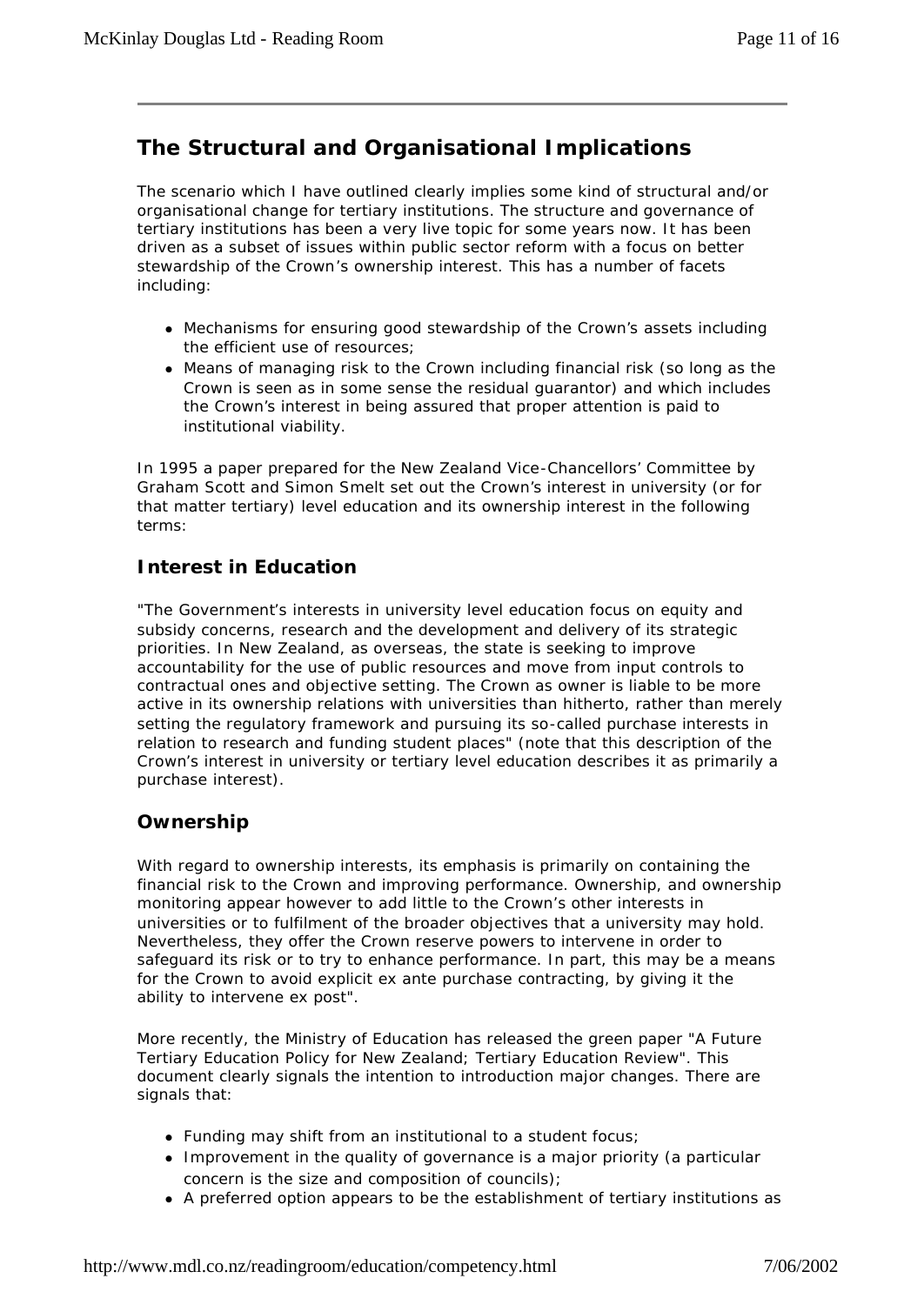# **The Structural and Organisational Implications**

The scenario which I have outlined clearly implies some kind of structural and/or organisational change for tertiary institutions. The structure and governance of tertiary institutions has been a very live topic for some years now. It has been driven as a subset of issues within public sector reform with a focus on better stewardship of the Crown's ownership interest. This has a number of facets including:

- Mechanisms for ensuring good stewardship of the Crown's assets including the efficient use of resources;
- Means of managing risk to the Crown including financial risk (so long as the Crown is seen as in some sense the residual guarantor) and which includes the Crown's interest in being assured that proper attention is paid to institutional viability.

In 1995 a paper prepared for the New Zealand Vice-Chancellors' Committee by Graham Scott and Simon Smelt set out the Crown's interest in university (or for that matter tertiary) level education and its ownership interest in the following terms:

#### **Interest in Education**

"The Government's interests in university level education focus on equity and subsidy concerns, research and the development and delivery of its strategic priorities. In New Zealand, as overseas, the state is seeking to improve accountability for the use of public resources and move from input controls to contractual ones and objective setting. The Crown as owner is liable to be more active in its ownership relations with universities than hitherto, rather than merely setting the regulatory framework and pursuing its so-called purchase interests in relation to research and funding student places" (note that this description of the Crown's interest in university or tertiary level education describes it as primarily a purchase interest).

#### **Ownership**

With regard to ownership interests, its emphasis is primarily on containing the financial risk to the Crown and improving performance. Ownership, and ownership monitoring appear however to add little to the Crown's other interests in universities or to fulfilment of the broader objectives that a university may hold. Nevertheless, they offer the Crown reserve powers to intervene in order to safeguard its risk or to try to enhance performance. In part, this may be a means for the Crown to avoid explicit ex ante purchase contracting, by giving it the ability to intervene ex post".

More recently, the Ministry of Education has released the green paper "A Future Tertiary Education Policy for New Zealand; Tertiary Education Review". This document clearly signals the intention to introduction major changes. There are signals that:

- $\bullet$  Funding may shift from an institutional to a student focus;
- Improvement in the quality of governance is a major priority (a particular concern is the size and composition of councils);
- A preferred option appears to be the establishment of tertiary institutions as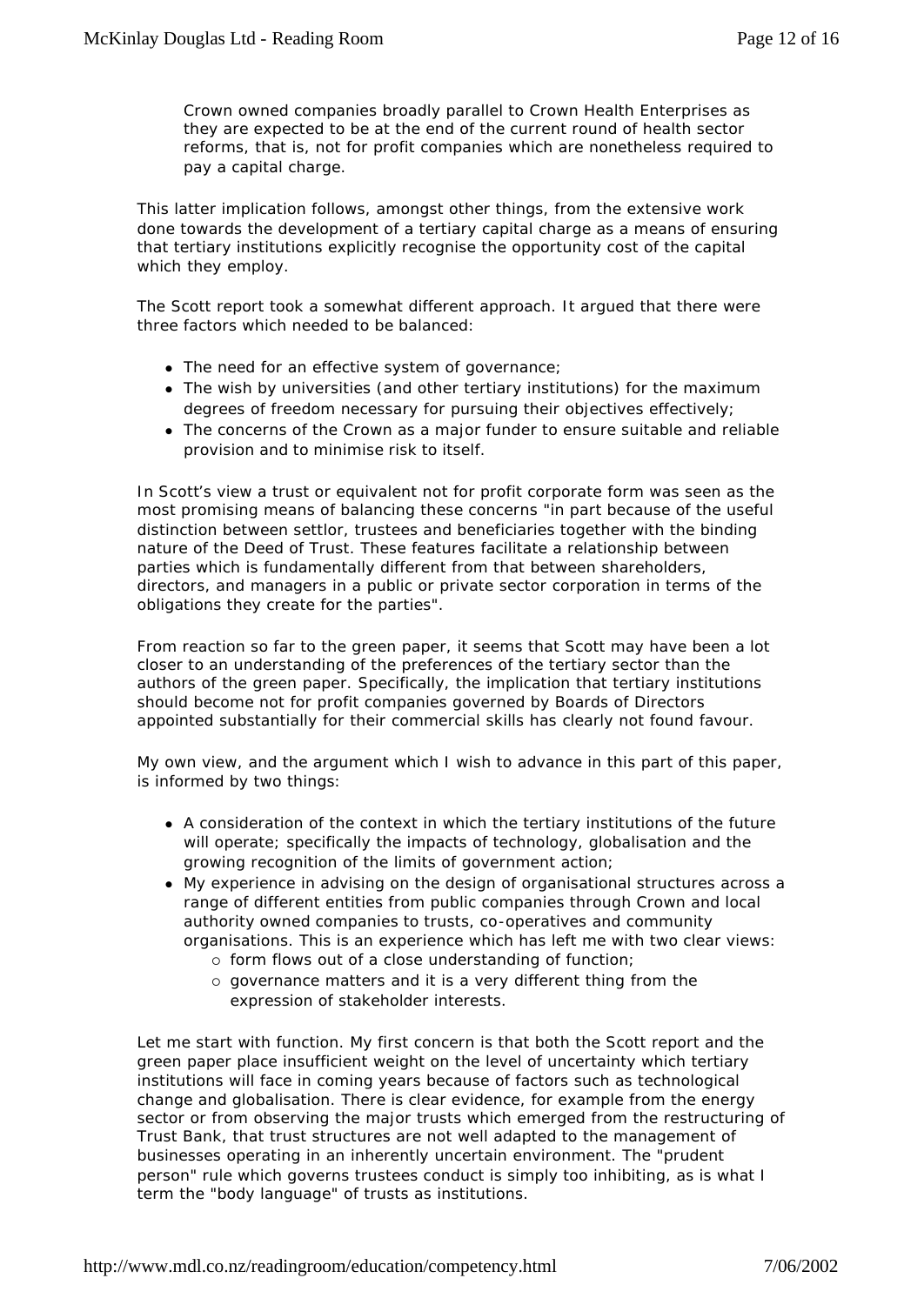Crown owned companies broadly parallel to Crown Health Enterprises as they are expected to be at the end of the current round of health sector reforms, that is, not for profit companies which are nonetheless required to pay a capital charge.

This latter implication follows, amongst other things, from the extensive work done towards the development of a tertiary capital charge as a means of ensuring that tertiary institutions explicitly recognise the opportunity cost of the capital which they employ.

The Scott report took a somewhat different approach. It argued that there were three factors which needed to be balanced:

- The need for an effective system of governance;
- The wish by universities (and other tertiary institutions) for the maximum degrees of freedom necessary for pursuing their objectives effectively;
- The concerns of the Crown as a major funder to ensure suitable and reliable provision and to minimise risk to itself.

In Scott's view a trust or equivalent not for profit corporate form was seen as the most promising means of balancing these concerns "in part because of the useful distinction between settlor, trustees and beneficiaries together with the binding nature of the Deed of Trust. These features facilitate a relationship between parties which is fundamentally different from that between shareholders, directors, and managers in a public or private sector corporation in terms of the obligations they create for the parties".

From reaction so far to the green paper, it seems that Scott may have been a lot closer to an understanding of the preferences of the tertiary sector than the authors of the green paper. Specifically, the implication that tertiary institutions should become not for profit companies governed by Boards of Directors appointed substantially for their commercial skills has clearly not found favour.

My own view, and the argument which I wish to advance in this part of this paper, is informed by two things:

- A consideration of the context in which the tertiary institutions of the future will operate; specifically the impacts of technology, globalisation and the growing recognition of the limits of government action;
- My experience in advising on the design of organisational structures across a range of different entities from public companies through Crown and local authority owned companies to trusts, co-operatives and community organisations. This is an experience which has left me with two clear views:
	- ° form flows out of a close understanding of function;
	- ° governance matters and it is a very different thing from the expression of stakeholder interests.

Let me start with function. My first concern is that both the Scott report and the green paper place insufficient weight on the level of uncertainty which tertiary institutions will face in coming years because of factors such as technological change and globalisation. There is clear evidence, for example from the energy sector or from observing the major trusts which emerged from the restructuring of Trust Bank, that trust structures are not well adapted to the management of businesses operating in an inherently uncertain environment. The "prudent person" rule which governs trustees conduct is simply too inhibiting, as is what I term the "body language" of trusts as institutions.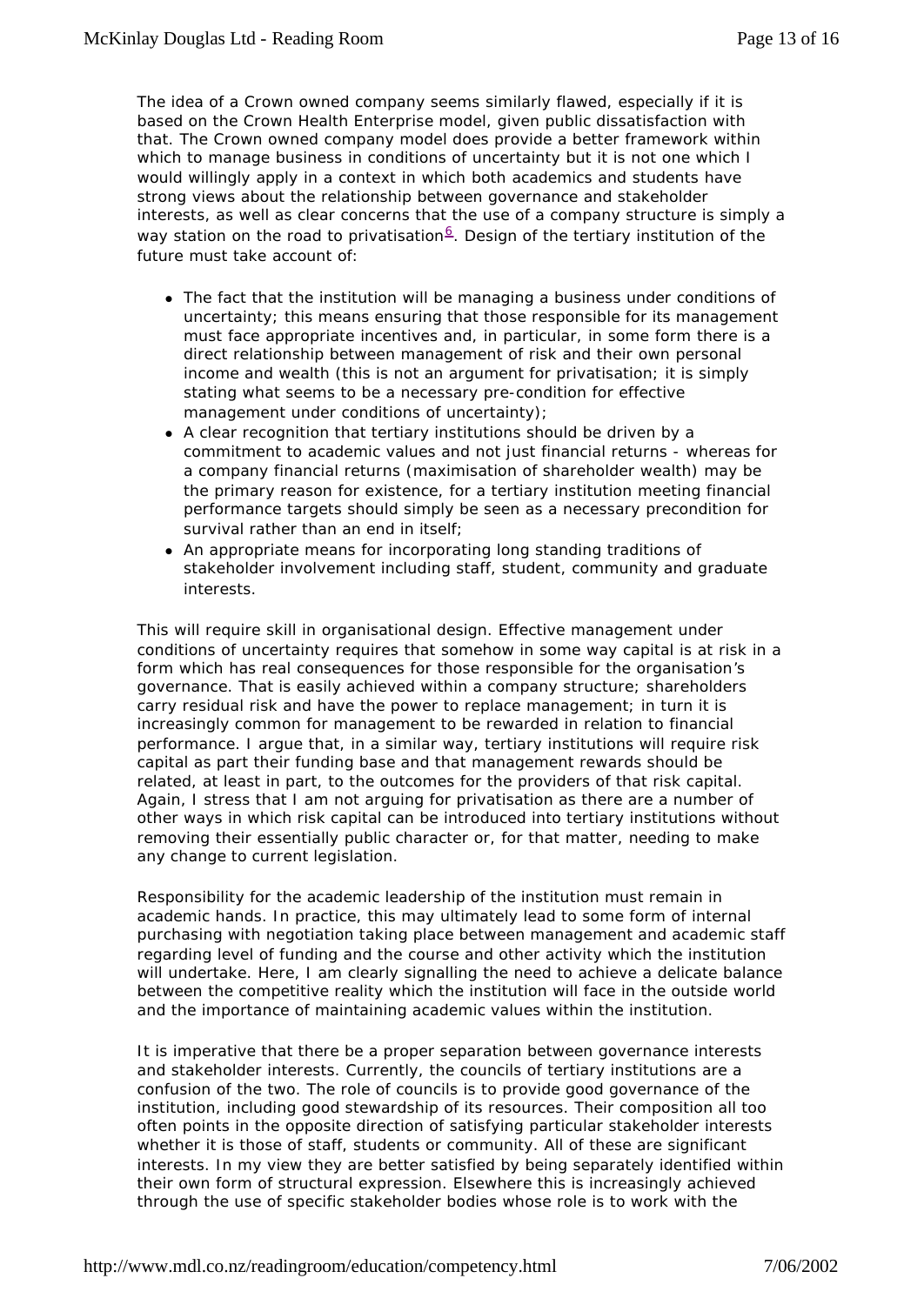The idea of a Crown owned company seems similarly flawed, especially if it is based on the Crown Health Enterprise model, given public dissatisfaction with that. The Crown owned company model does provide a better framework within which to manage business in conditions of uncertainty but it is not one which I would willingly apply in a context in which both academics and students have strong views about the relationship between governance and stakeholder interests, as well as clear concerns that the use of a company structure is simply a way station on the road to privatisation<sup>6</sup>. Design of the tertiary institution of the future must take account of:

- The fact that the institution will be managing a business under conditions of uncertainty; this means ensuring that those responsible for its management must face appropriate incentives and, in particular, in some form there is a direct relationship between management of risk and their own personal income and wealth (this is not an argument for privatisation; it is simply stating what seems to be a necessary pre-condition for effective management under conditions of uncertainty);
- A clear recognition that tertiary institutions should be driven by a commitment to academic values and not just financial returns - whereas for a company financial returns (maximisation of shareholder wealth) may be the primary reason for existence, for a tertiary institution meeting financial performance targets should simply be seen as a necessary precondition for survival rather than an end in itself;
- An appropriate means for incorporating long standing traditions of stakeholder involvement including staff, student, community and graduate interests.

This will require skill in organisational design. Effective management under conditions of uncertainty requires that somehow in some way capital is at risk in a form which has real consequences for those responsible for the organisation's governance. That is easily achieved within a company structure; shareholders carry residual risk and have the power to replace management; in turn it is increasingly common for management to be rewarded in relation to financial performance. I argue that, in a similar way, tertiary institutions will require risk capital as part their funding base and that management rewards should be related, at least in part, to the outcomes for the providers of that risk capital. Again, I stress that I am not arguing for privatisation as there are a number of other ways in which risk capital can be introduced into tertiary institutions without removing their essentially public character or, for that matter, needing to make any change to current legislation.

Responsibility for the academic leadership of the institution must remain in academic hands. In practice, this may ultimately lead to some form of internal purchasing with negotiation taking place between management and academic staff regarding level of funding and the course and other activity which the institution will undertake. Here, I am clearly signalling the need to achieve a delicate balance between the competitive reality which the institution will face in the outside world and the importance of maintaining academic values within the institution.

It is imperative that there be a proper separation between governance interests and stakeholder interests. Currently, the councils of tertiary institutions are a confusion of the two. The role of councils is to provide good governance of the institution, including good stewardship of its resources. Their composition all too often points in the opposite direction of satisfying particular stakeholder interests whether it is those of staff, students or community. All of these are significant interests. In my view they are better satisfied by being separately identified within their own form of structural expression. Elsewhere this is increasingly achieved through the use of specific stakeholder bodies whose role is to work with the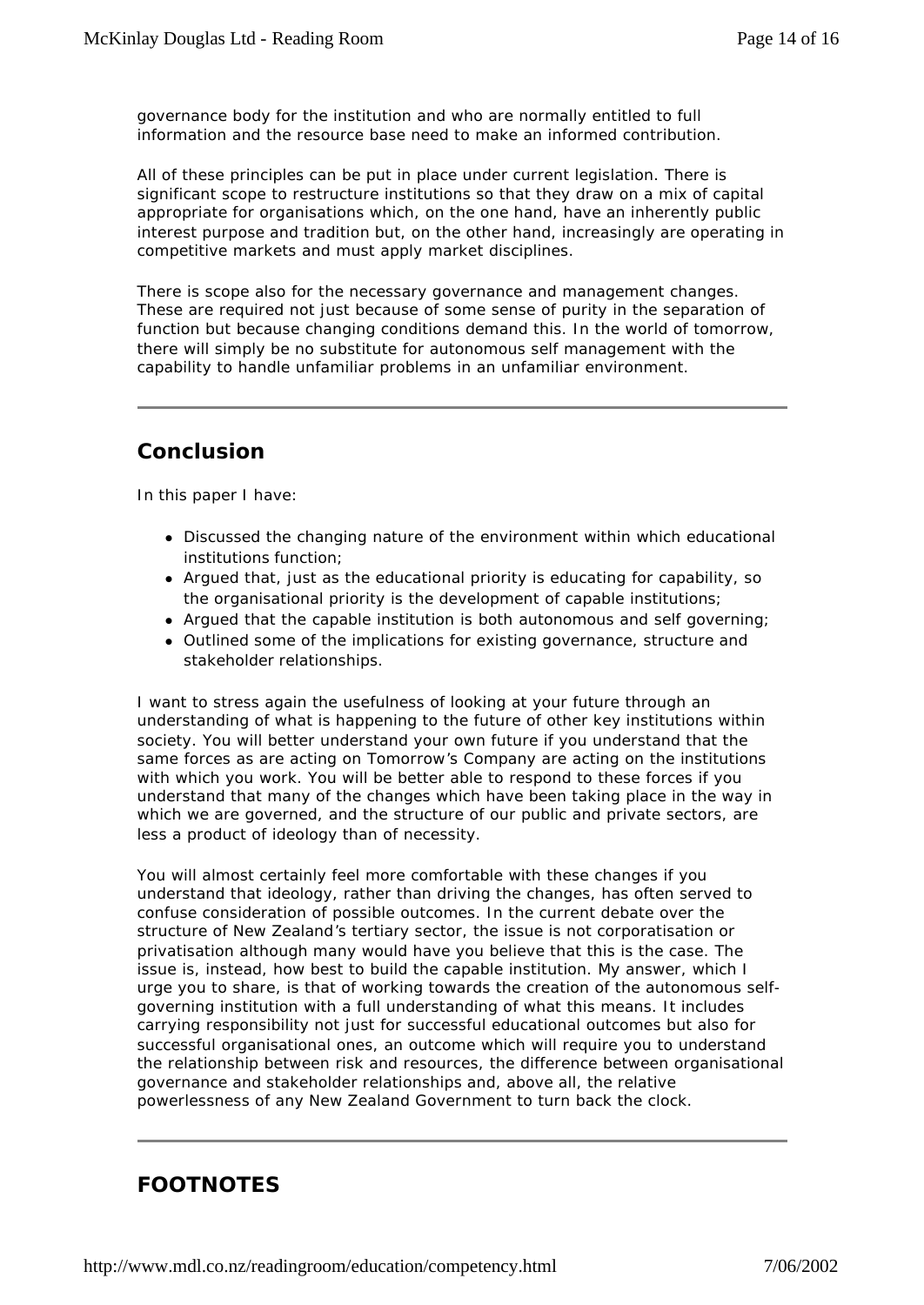governance body for the institution and who are normally entitled to full information and the resource base need to make an informed contribution.

All of these principles can be put in place under current legislation. There is significant scope to restructure institutions so that they draw on a mix of capital appropriate for organisations which, on the one hand, have an inherently public interest purpose and tradition but, on the other hand, increasingly are operating in competitive markets and must apply market disciplines.

There is scope also for the necessary governance and management changes. These are required not just because of some sense of purity in the separation of function but because changing conditions demand this. In the world of tomorrow, there will simply be no substitute for autonomous self management with the capability to handle unfamiliar problems in an unfamiliar environment.

## **Conclusion**

In this paper I have:

- Discussed the changing nature of the environment within which educational institutions function;
- Argued that, just as the educational priority is educating for capability, so the organisational priority is the development of capable institutions;
- Argued that the capable institution is both autonomous and self governing;
- Outlined some of the implications for existing governance, structure and stakeholder relationships.

I want to stress again the usefulness of looking at your future through an understanding of what is happening to the future of other key institutions within society. You will better understand your own future if you understand that the same forces as are acting on Tomorrow's Company are acting on the institutions with which you work. You will be better able to respond to these forces if you understand that many of the changes which have been taking place in the way in which we are governed, and the structure of our public and private sectors, are less a product of ideology than of necessity.

You will almost certainly feel more comfortable with these changes if you understand that ideology, rather than driving the changes, has often served to confuse consideration of possible outcomes. In the current debate over the structure of New Zealand's tertiary sector, the issue is not corporatisation or privatisation although many would have you believe that this is the case. The issue is, instead, how best to build the capable institution. My answer, which I urge you to share, is that of working towards the creation of the autonomous selfgoverning institution with a full understanding of what this means. It includes carrying responsibility not just for successful educational outcomes but also for successful organisational ones, an outcome which will require you to understand the relationship between risk and resources, the difference between organisational governance and stakeholder relationships and, above all, the relative powerlessness of any New Zealand Government to turn back the clock.

# **FOOTNOTES**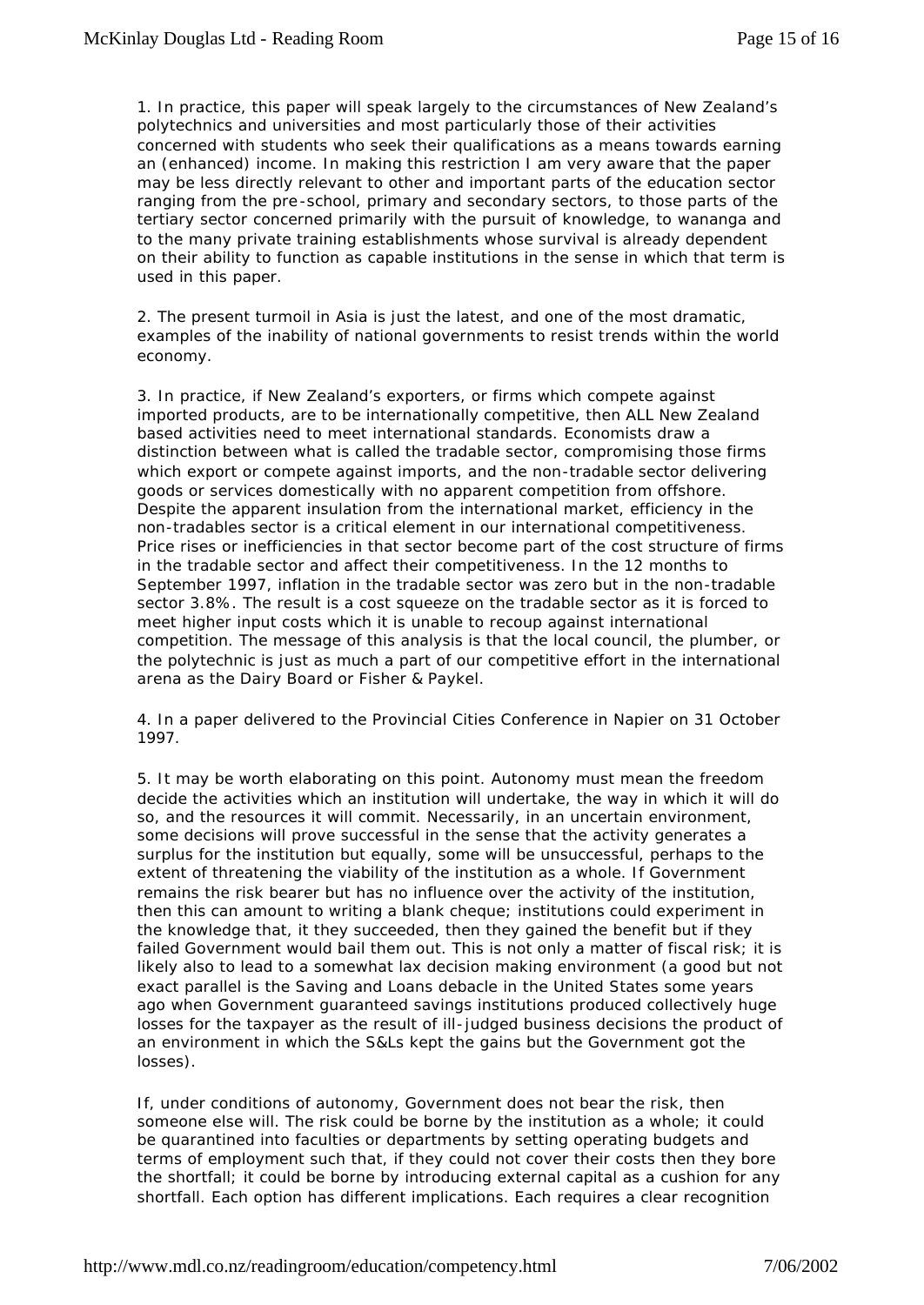1. In practice, this paper will speak largely to the circumstances of New Zealand's polytechnics and universities and most particularly those of their activities concerned with students who seek their qualifications as a means towards earning an (enhanced) income. In making this restriction I am very aware that the paper may be less directly relevant to other and important parts of the education sector ranging from the pre -school, primary and secondary sectors, to those parts of the tertiary sector concerned primarily with the pursuit of knowledge, to wananga and to the many private training establishments whose survival is already dependent on their ability to function as capable institutions in the sense in which that term is used in this paper.

2. The present turmoil in Asia is just the latest, and one of the most dramatic, examples of the inability of national governments to resist trends within the world economy.

3. In practice, if New Zealand's exporters, or firms which compete against imported products, are to be internationally competitive, then ALL New Zealand based activities need to meet international standards. Economists draw a distinction between what is called the tradable sector, compromising those firms which export or compete against imports, and the non-tradable sector delivering goods or services domestically with no apparent competition from offshore. Despite the apparent insulation from the international market, efficiency in the non-tradables sector is a critical element in our international competitiveness. Price rises or inefficiencies in that sector become part of the cost structure of firms in the tradable sector and affect their competitiveness. In the 12 months to September 1997, inflation in the tradable sector was zero but in the non-tradable sector 3.8%. The result is a cost squeeze on the tradable sector as it is forced to meet higher input costs which it is unable to recoup against international competition. The message of this analysis is that the local council, the plumber, or the polytechnic is just as much a part of our competitive effort in the international arena as the Dairy Board or Fisher & Paykel.

4. In a paper delivered to the Provincial Cities Conference in Napier on 31 October 1997.

5. It may be worth elaborating on this point. Autonomy must mean the freedom decide the activities which an institution will undertake, the way in which it will do so, and the resources it will commit. Necessarily, in an uncertain environment, some decisions will prove successful in the sense that the activity generates a surplus for the institution but equally, some will be unsuccessful, perhaps to the extent of threatening the viability of the institution as a whole. If Government remains the risk bearer but has no influence over the activity of the institution, then this can amount to writing a blank cheque; institutions could experiment in the knowledge that, it they succeeded, then they gained the benefit but if they failed Government would bail them out. This is not only a matter of fiscal risk; it is likely also to lead to a somewhat lax decision making environment (a good but not exact parallel is the Saving and Loans debacle in the United States some years ago when Government guaranteed savings institutions produced collectively huge losses for the taxpayer as the result of ill-judged business decisions the product of an environment in which the S&Ls kept the gains but the Government got the losses).

If, under conditions of autonomy, Government does not bear the risk, then someone else will. The risk could be borne by the institution as a whole; it could be quarantined into faculties or departments by setting operating budgets and terms of employment such that, if they could not cover their costs then they bore the shortfall; it could be borne by introducing external capital as a cushion for any shortfall. Each option has different implications. Each requires a clear recognition